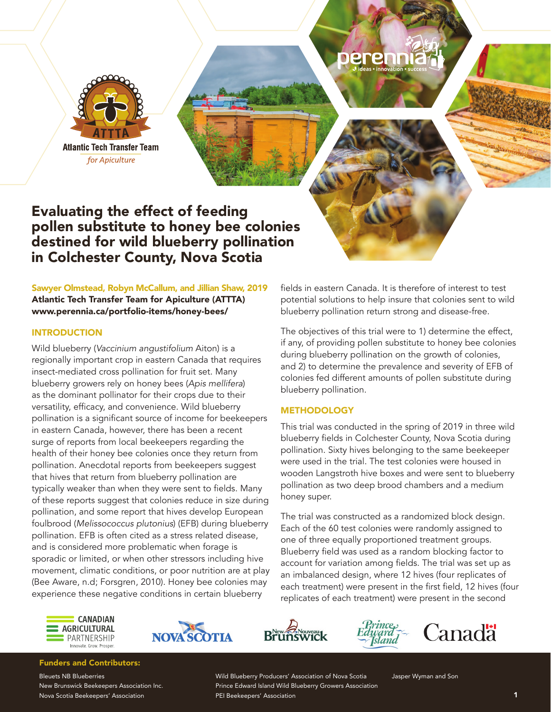

Evaluating the effect of feeding pollen substitute to honey bee colonies destined for wild blueberry pollination in Colchester County, Nova Scotia

# Sawyer Olmstead, Robyn McCallum, and Jillian Shaw, 2019

Atlantic Tech Transfer Team for Apiculture (ATTTA) www.perennia.ca/portfolio-items/honey-bees/

## INTRODUCTION

Wild blueberry (*Vaccinium angustifolium* Aiton) is a regionally important crop in eastern Canada that requires insect-mediated cross pollination for fruit set. Many blueberry growers rely on honey bees (*Apis mellifera*) as the dominant pollinator for their crops due to their versatility, efficacy, and convenience. Wild blueberry pollination is a significant source of income for beekeepers in eastern Canada, however, there has been a recent surge of reports from local beekeepers regarding the health of their honey bee colonies once they return from pollination. Anecdotal reports from beekeepers suggest that hives that return from blueberry pollination are typically weaker than when they were sent to fields. Many of these reports suggest that colonies reduce in size during pollination, and some report that hives develop European foulbrood (*Melissococcus plutonius*) (EFB) during blueberry pollination. EFB is often cited as a stress related disease, and is considered more problematic when forage is sporadic or limited, or when other stressors including hive movement, climatic conditions, or poor nutrition are at play (Bee Aware, n.d; Forsgren, 2010). Honey bee colonies may experience these negative conditions in certain blueberry

fields in eastern Canada. It is therefore of interest to test potential solutions to help insure that colonies sent to wild blueberry pollination return strong and disease-free.

The objectives of this trial were to 1) determine the effect, if any, of providing pollen substitute to honey bee colonies during blueberry pollination on the growth of colonies, and 2) to determine the prevalence and severity of EFB of colonies fed different amounts of pollen substitute during blueberry pollination.

## **METHODOLOGY**

This trial was conducted in the spring of 2019 in three wild blueberry fields in Colchester County, Nova Scotia during pollination. Sixty hives belonging to the same beekeeper were used in the trial. The test colonies were housed in wooden Langstroth hive boxes and were sent to blueberry pollination as two deep brood chambers and a medium honey super.

The trial was constructed as a randomized block design. Each of the 60 test colonies were randomly assigned to one of three equally proportioned treatment groups. Blueberry field was used as a random blocking factor to account for variation among fields. The trial was set up as an imbalanced design, where 12 hives (four replicates of each treatment) were present in the first field, 12 hives (four replicates of each treatment) were present in the second









## Funders and Contributors:

Bleuets NB Blueberries New Brunswick Beekeepers Association Inc. Nova Scotia Beekeepers' Association

Wild Blueberry Producers' Association of Nova Scotia Prince Edward Island Wild Blueberry Growers Association PEI Beekeepers' Association

Jasper Wyman and Son

1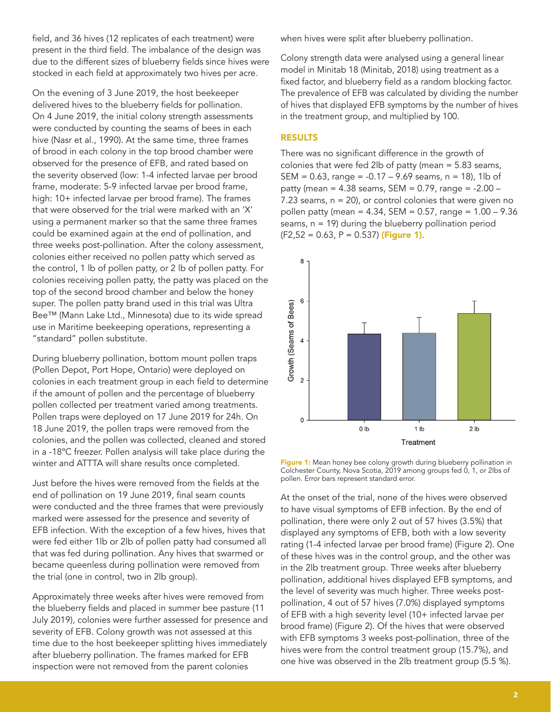field, and 36 hives (12 replicates of each treatment) were present in the third field. The imbalance of the design was due to the different sizes of blueberry fields since hives were stocked in each field at approximately two hives per acre.

On the evening of 3 June 2019, the host beekeeper delivered hives to the blueberry fields for pollination. On 4 June 2019, the initial colony strength assessments were conducted by counting the seams of bees in each hive (Nasr et al., 1990). At the same time, three frames of brood in each colony in the top brood chamber were observed for the presence of EFB, and rated based on the severity observed (low: 1-4 infected larvae per brood frame, moderate: 5-9 infected larvae per brood frame, high: 10+ infected larvae per brood frame). The frames that were observed for the trial were marked with an 'X' using a permanent marker so that the same three frames could be examined again at the end of pollination, and three weeks post-pollination. After the colony assessment, colonies either received no pollen patty which served as the control, 1 lb of pollen patty, or 2 lb of pollen patty. For colonies receiving pollen patty, the patty was placed on the top of the second brood chamber and below the honey super. The pollen patty brand used in this trial was Ultra Bee™ (Mann Lake Ltd., Minnesota) due to its wide spread use in Maritime beekeeping operations, representing a "standard" pollen substitute.

During blueberry pollination, bottom mount pollen traps (Pollen Depot, Port Hope, Ontario) were deployed on colonies in each treatment group in each field to determine if the amount of pollen and the percentage of blueberry pollen collected per treatment varied among treatments. Pollen traps were deployed on 17 June 2019 for 24h. On 18 June 2019, the pollen traps were removed from the colonies, and the pollen was collected, cleaned and stored in a -18ºC freezer. Pollen analysis will take place during the winter and ATTTA will share results once completed.

Just before the hives were removed from the fields at the end of pollination on 19 June 2019, final seam counts were conducted and the three frames that were previously marked were assessed for the presence and severity of EFB infection. With the exception of a few hives, hives that were fed either 1lb or 2lb of pollen patty had consumed all that was fed during pollination. Any hives that swarmed or became queenless during pollination were removed from the trial (one in control, two in 2lb group).

Approximately three weeks after hives were removed from the blueberry fields and placed in summer bee pasture (11 July 2019), colonies were further assessed for presence and severity of EFB. Colony growth was not assessed at this time due to the host beekeeper splitting hives immediately after blueberry pollination. The frames marked for EFB inspection were not removed from the parent colonies

when hives were split after blueberry pollination.

Colony strength data were analysed using a general linear model in Minitab 18 (Minitab, 2018) using treatment as a fixed factor, and blueberry field as a random blocking factor. The prevalence of EFB was calculated by dividing the number of hives that displayed EFB symptoms by the number of hives in the treatment group, and multiplied by 100.

#### RESULTS

There was no significant difference in the growth of colonies that were fed 2lb of patty (mean = 5.83 seams, SEM =  $0.63$ , range =  $-0.17 - 9.69$  seams, n = 18), 1lb of patty (mean =  $4.38$  seams, SEM =  $0.79$ , range =  $-2.00 -$ 7.23 seams,  $n = 20$ , or control colonies that were given no pollen patty (mean = 4.34, SEM = 0.57, range = 1.00 – 9.36 seams,  $n = 19$ ) during the blueberry pollination period  $(F2,52 = 0.63, P = 0.537)$  (Figure 1).



Figure 1: Mean honey bee colony growth during blueberry pollination in Colchester County, Nova Scotia, 2019 among groups fed 0, 1, or 2lbs of pollen. Error bars represent standard error.

At the onset of the trial, none of the hives were observed to have visual symptoms of EFB infection. By the end of pollination, there were only 2 out of 57 hives (3.5%) that displayed any symptoms of EFB, both with a low severity rating (1-4 infected larvae per brood frame) (Figure 2). One of these hives was in the control group, and the other was in the 2lb treatment group. Three weeks after blueberry pollination, additional hives displayed EFB symptoms, and the level of severity was much higher. Three weeks postpollination, 4 out of 57 hives (7.0%) displayed symptoms of EFB with a high severity level (10+ infected larvae per brood frame) (Figure 2). Of the hives that were observed with EFB symptoms 3 weeks post-pollination, three of the hives were from the control treatment group (15.7%), and one hive was observed in the 2lb treatment group (5.5 %).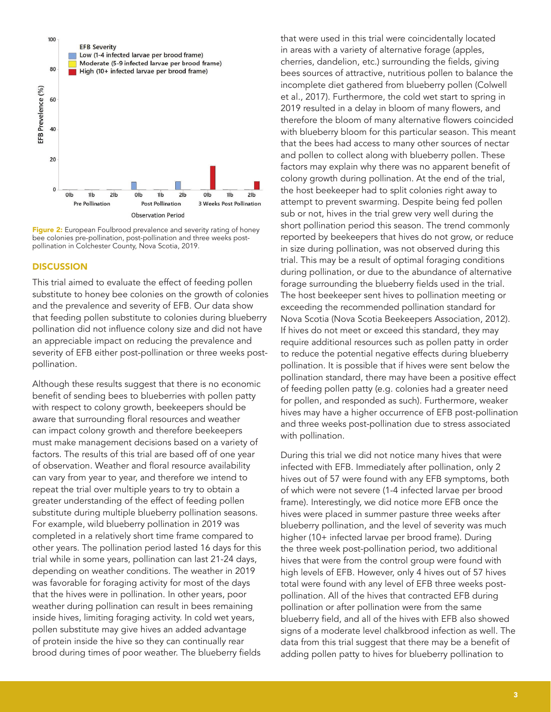

Figure 2: European Foulbrood prevalence and severity rating of honey bee colonies pre-pollination, post-pollination and three weeks postpollination in Colchester County, Nova Scotia, 2019.

#### **DISCUSSION**

This trial aimed to evaluate the effect of feeding pollen substitute to honey bee colonies on the growth of colonies and the prevalence and severity of EFB. Our data show that feeding pollen substitute to colonies during blueberry pollination did not influence colony size and did not have an appreciable impact on reducing the prevalence and severity of EFB either post-pollination or three weeks postpollination.

Although these results suggest that there is no economic benefit of sending bees to blueberries with pollen patty with respect to colony growth, beekeepers should be aware that surrounding floral resources and weather can impact colony growth and therefore beekeepers must make management decisions based on a variety of factors. The results of this trial are based off of one year of observation. Weather and floral resource availability can vary from year to year, and therefore we intend to repeat the trial over multiple years to try to obtain a greater understanding of the effect of feeding pollen substitute during multiple blueberry pollination seasons. For example, wild blueberry pollination in 2019 was completed in a relatively short time frame compared to other years. The pollination period lasted 16 days for this trial while in some years, pollination can last 21-24 days, depending on weather conditions. The weather in 2019 was favorable for foraging activity for most of the days that the hives were in pollination. In other years, poor weather during pollination can result in bees remaining inside hives, limiting foraging activity. In cold wet years, pollen substitute may give hives an added advantage of protein inside the hive so they can continually rear brood during times of poor weather. The blueberry fields that were used in this trial were coincidentally located in areas with a variety of alternative forage (apples, cherries, dandelion, etc.) surrounding the fields, giving bees sources of attractive, nutritious pollen to balance the incomplete diet gathered from blueberry pollen (Colwell et al., 2017). Furthermore, the cold wet start to spring in 2019 resulted in a delay in bloom of many flowers, and therefore the bloom of many alternative flowers coincided with blueberry bloom for this particular season. This meant that the bees had access to many other sources of nectar and pollen to collect along with blueberry pollen. These factors may explain why there was no apparent benefit of colony growth during pollination. At the end of the trial, the host beekeeper had to split colonies right away to attempt to prevent swarming. Despite being fed pollen sub or not, hives in the trial grew very well during the short pollination period this season. The trend commonly reported by beekeepers that hives do not grow, or reduce in size during pollination, was not observed during this trial. This may be a result of optimal foraging conditions during pollination, or due to the abundance of alternative forage surrounding the blueberry fields used in the trial. The host beekeeper sent hives to pollination meeting or exceeding the recommended pollination standard for Nova Scotia (Nova Scotia Beekeepers Association, 2012). If hives do not meet or exceed this standard, they may require additional resources such as pollen patty in order to reduce the potential negative effects during blueberry pollination. It is possible that if hives were sent below the pollination standard, there may have been a positive effect of feeding pollen patty (e.g. colonies had a greater need for pollen, and responded as such). Furthermore, weaker hives may have a higher occurrence of EFB post-pollination and three weeks post-pollination due to stress associated with pollination.

During this trial we did not notice many hives that were infected with EFB. Immediately after pollination, only 2 hives out of 57 were found with any EFB symptoms, both of which were not severe (1-4 infected larvae per brood frame). Interestingly, we did notice more EFB once the hives were placed in summer pasture three weeks after blueberry pollination, and the level of severity was much higher (10+ infected larvae per brood frame). During the three week post-pollination period, two additional hives that were from the control group were found with high levels of EFB. However, only 4 hives out of 57 hives total were found with any level of EFB three weeks postpollination. All of the hives that contracted EFB during pollination or after pollination were from the same blueberry field, and all of the hives with EFB also showed signs of a moderate level chalkbrood infection as well. The data from this trial suggest that there may be a benefit of adding pollen patty to hives for blueberry pollination to